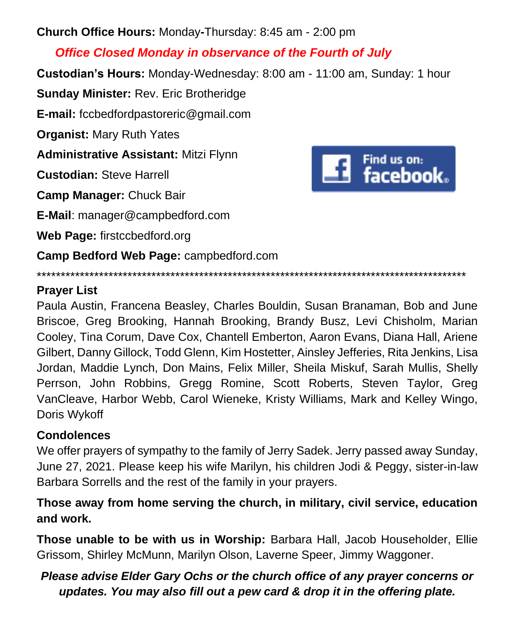**Church Office Hours:** Monday**-**Thursday: 8:45 am - 2:00 pm

# *Office Closed Monday in observance of the Fourth of July*

**Custodian's Hours:** Monday-Wednesday: 8:00 am - 11:00 am, Sunday: 1 hour

**Sunday Minister:** Rev. Eric Brotheridge

**E-mail:** fccbedfordpastoreric@gmail.com

**Organist:** Mary Ruth Yates

**Administrative Assistant:** Mitzi Flynn

**Custodian:** Steve Harrell

**Camp Manager:** Chuck Bair

**E-Mail**: manager@campbedford.com

**Web Page:** firstccbedford.org

**Camp Bedford Web Page:** campbedford.com



\*\*\*\*\*\*\*\*\*\*\*\*\*\*\*\*\*\*\*\*\*\*\*\*\*\*\*\*\*\*\*\*\*\*\*\*\*\*\*\*\*\*\*\*\*\*\*\*\*\*\*\*\*\*\*\*\*\*\*\*\*\*\*\*\*\*\*\*\*\*\*\*\*\*\*\*\*\*\*\*\*\*\*\*\*\*\*\*\*\*

## **Prayer List**

Paula Austin, Francena Beasley, Charles Bouldin, Susan Branaman, Bob and June Briscoe, Greg Brooking, Hannah Brooking, Brandy Busz, Levi Chisholm, Marian Cooley, Tina Corum, Dave Cox, Chantell Emberton, Aaron Evans, Diana Hall, Ariene Gilbert, Danny Gillock, Todd Glenn, Kim Hostetter, Ainsley Jefferies, Rita Jenkins, Lisa Jordan, Maddie Lynch, Don Mains, Felix Miller, Sheila Miskuf, Sarah Mullis, Shelly Perrson, John Robbins, Gregg Romine, Scott Roberts, Steven Taylor, Greg VanCleave, Harbor Webb, Carol Wieneke, Kristy Williams, Mark and Kelley Wingo, Doris Wykoff

## **Condolences**

We offer prayers of sympathy to the family of Jerry Sadek. Jerry passed away Sunday, June 27, 2021. Please keep his wife Marilyn, his children Jodi & Peggy, sister-in-law Barbara Sorrells and the rest of the family in your prayers.

## **Those away from home serving the church, in military, civil service, education and work.**

**Those unable to be with us in Worship:** Barbara Hall, Jacob Householder, Ellie Grissom, Shirley McMunn, Marilyn Olson, Laverne Speer, Jimmy Waggoner.

# *Please advise Elder Gary Ochs or the church office of any prayer concerns or updates. You may also fill out a pew card & drop it in the offering plate.*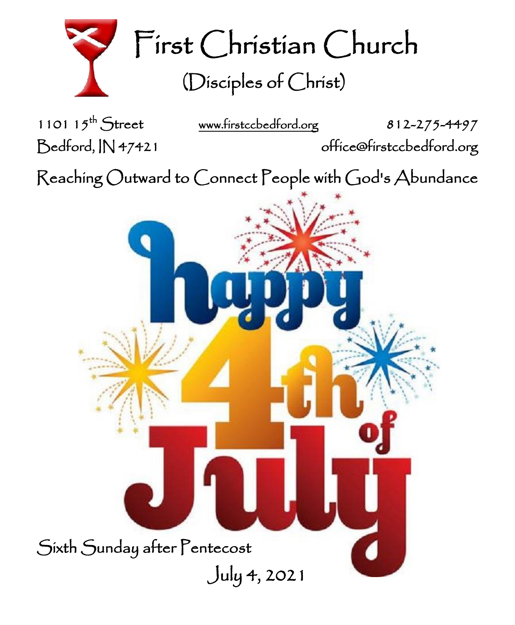

First Christian Church (Disciples of Christ)

1101  $15^{th}$  Street

[www.firstccbedford.org](http://www.firstccbedford.org/) 812-275-4497 Bedford, IN 47421 office@firstccbedford.org

 $\sf Reaching~Outward$  to  $\sf{Connect}$   $\sf{People}$  with  $\sf{God's}$   $\sf{Abundance}$ 

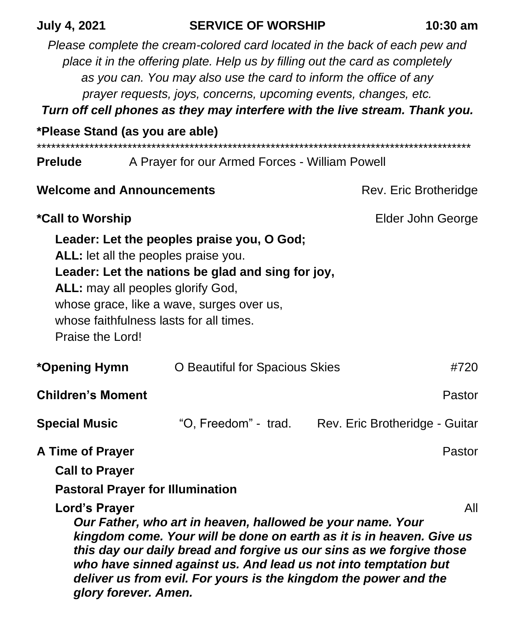| <b>July 4, 2021</b>                                                                                   | <b>SERVICE OF WORSHIP</b>                                                                                                                                                                                                                                                                                                                                                          | $10:30$ am                                          |  |
|-------------------------------------------------------------------------------------------------------|------------------------------------------------------------------------------------------------------------------------------------------------------------------------------------------------------------------------------------------------------------------------------------------------------------------------------------------------------------------------------------|-----------------------------------------------------|--|
|                                                                                                       | Please complete the cream-colored card located in the back of each pew and<br>place it in the offering plate. Help us by filling out the card as completely<br>as you can. You may also use the card to inform the office of any<br>prayer requests, joys, concerns, upcoming events, changes, etc.<br>Turn off cell phones as they may interfere with the live stream. Thank you. |                                                     |  |
| *Please Stand (as you are able)                                                                       |                                                                                                                                                                                                                                                                                                                                                                                    |                                                     |  |
| <b>Prelude</b>                                                                                        | A Prayer for our Armed Forces - William Powell                                                                                                                                                                                                                                                                                                                                     |                                                     |  |
| <b>Welcome and Announcements</b>                                                                      |                                                                                                                                                                                                                                                                                                                                                                                    | Rev. Eric Brotheridge                               |  |
| *Call to Worship                                                                                      |                                                                                                                                                                                                                                                                                                                                                                                    | Elder John George                                   |  |
| ALL: may all peoples glorify God,<br>Praise the Lord!                                                 | Leader: Let the peoples praise you, O God;<br>ALL: let all the peoples praise you.<br>Leader: Let the nations be glad and sing for joy,<br>whose grace, like a wave, surges over us,<br>whose faithfulness lasts for all times.                                                                                                                                                    |                                                     |  |
| *Opening Hymn                                                                                         | O Beautiful for Spacious Skies                                                                                                                                                                                                                                                                                                                                                     | #720                                                |  |
| <b>Children's Moment</b>                                                                              |                                                                                                                                                                                                                                                                                                                                                                                    | Pastor                                              |  |
| <b>Special Music</b>                                                                                  |                                                                                                                                                                                                                                                                                                                                                                                    | "O, Freedom" - trad. Rev. Eric Brotheridge - Guitar |  |
| A Time of Prayer<br><b>Call to Prayer</b><br><b>Pastoral Prayer for Illumination</b><br>Lord's Prayer | Our Father, who art in heaven, hallowed be your name. Your<br>kingdom come. Your will be done on earth as it is in heaven. Give us                                                                                                                                                                                                                                                 | Pastor<br>All                                       |  |
| glory forever. Amen.                                                                                  | this day our daily bread and forgive us our sins as we forgive those<br>who have sinned against us. And lead us not into temptation but<br>deliver us from evil. For yours is the kingdom the power and the                                                                                                                                                                        |                                                     |  |